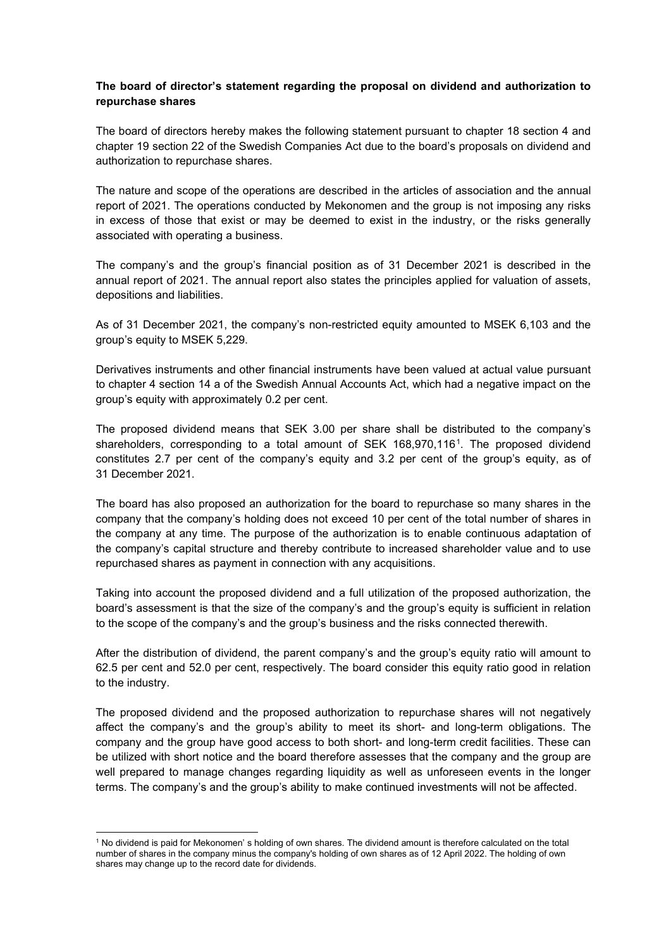## **The board of director's statement regarding the proposal on dividend and authorization to repurchase shares**

The board of directors hereby makes the following statement pursuant to chapter 18 section 4 and chapter 19 section 22 of the Swedish Companies Act due to the board's proposals on dividend and authorization to repurchase shares.

The nature and scope of the operations are described in the articles of association and the annual report of 2021. The operations conducted by Mekonomen and the group is not imposing any risks in excess of those that exist or may be deemed to exist in the industry, or the risks generally associated with operating a business.

The company's and the group's financial position as of 31 December 2021 is described in the annual report of 2021. The annual report also states the principles applied for valuation of assets, depositions and liabilities.

As of 31 December 2021, the company's non-restricted equity amounted to MSEK 6,103 and the group's equity to MSEK 5,229.

Derivatives instruments and other financial instruments have been valued at actual value pursuant to chapter 4 section 14 a of the Swedish Annual Accounts Act, which had a negative impact on the group's equity with approximately 0.2 per cent.

The proposed dividend means that SEK 3.00 per share shall be distributed to the company's shareholders, corresponding to a total amount of SEK 168,970,116[1.](#page-0-0) The proposed dividend constitutes 2.7 per cent of the company's equity and 3.2 per cent of the group's equity, as of 31 December 2021.

The board has also proposed an authorization for the board to repurchase so many shares in the company that the company's holding does not exceed 10 per cent of the total number of shares in the company at any time. The purpose of the authorization is to enable continuous adaptation of the company's capital structure and thereby contribute to increased shareholder value and to use repurchased shares as payment in connection with any acquisitions.

Taking into account the proposed dividend and a full utilization of the proposed authorization, the board's assessment is that the size of the company's and the group's equity is sufficient in relation to the scope of the company's and the group's business and the risks connected therewith.

After the distribution of dividend, the parent company's and the group's equity ratio will amount to 62.5 per cent and 52.0 per cent, respectively. The board consider this equity ratio good in relation to the industry.

The proposed dividend and the proposed authorization to repurchase shares will not negatively affect the company's and the group's ability to meet its short- and long-term obligations. The company and the group have good access to both short- and long-term credit facilities. These can be utilized with short notice and the board therefore assesses that the company and the group are well prepared to manage changes regarding liquidity as well as unforeseen events in the longer terms. The company's and the group's ability to make continued investments will not be affected.

<span id="page-0-0"></span><sup>1</sup> No dividend is paid for Mekonomen' s holding of own shares. The dividend amount is therefore calculated on the total number of shares in the company minus the company's holding of own shares as of 12 April 2022. The holding of own shares may change up to the record date for dividends.